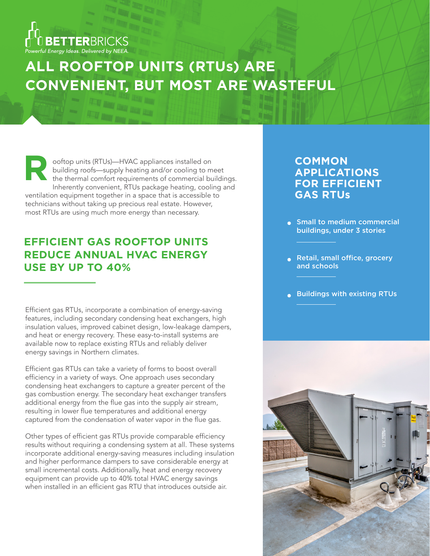

# **ALL ROOFTOP UNITS (RTUs) ARE CONVENIENT, BUT MOST ARE WASTEFUL**

ooftop units (RTUs)—HVAC appliances installed on building roofs—supply heating and/or cooling to meet the thermal comfort requirements of commercial buildings. Inherently convenient, RTUs package heating, cooling and ventilation equipment together in a space that is accessible to technicians without taking up precious real estate. However, most RTUs are using much more energy than necessary. **R**

# **EFFICIENT GAS ROOFTOP UNITS REDUCE ANNUAL HVAC ENERGY USE BY UP TO 40%**

Efficient gas RTUs, incorporate a combination of energy-saving features, including secondary condensing heat exchangers, high insulation values, improved cabinet design, low-leakage dampers, and heat or energy recovery. These easy-to-install systems are available now to replace existing RTUs and reliably deliver energy savings in Northern climates.

Efficient gas RTUs can take a variety of forms to boost overall efficiency in a variety of ways. One approach uses secondary condensing heat exchangers to capture a greater percent of the gas combustion energy. The secondary heat exchanger transfers additional energy from the flue gas into the supply air stream, resulting in lower flue temperatures and additional energy captured from the condensation of water vapor in the flue gas.

Other types of efficient gas RTUs provide comparable efficiency results without requiring a condensing system at all. These systems incorporate additional energy-saving measures including insulation and higher performance dampers to save considerable energy at small incremental costs. Additionally, heat and energy recovery equipment can provide up to 40% total HVAC energy savings when installed in an efficient gas RTU that introduces outside air.

## **COMMON APPLICATIONS FOR EFFICIENT GAS RTUs**

- **Small to medium commercial** buildings, under 3 stories
- Retail, small office, grocery and schools
- Buildings with existing RTUs

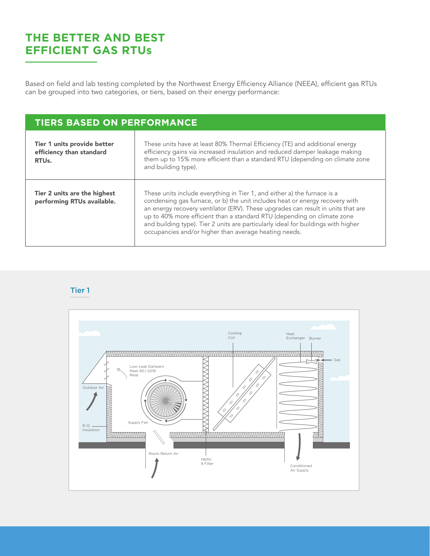# **THE BETTER AND BEST EFFICIENT GAS RTUs**

Based on field and lab testing completed by the Northwest Energy Efficiency Alliance (NEEA), efficient gas RTUs can be grouped into two categories, or tiers, based on their energy performance:

### **TIERS BASED ON PERFORMANCE**

Т

| Tier 1 units provide better<br>efficiency than standard<br>RTU <sub>s</sub> . | These units have at least 80% Thermal Efficiency (TE) and additional energy<br>efficiency gains via increased insulation and reduced damper leakage making<br>them up to 15% more efficient than a standard RTU (depending on climate zone<br>and building type).                                                                                                                                                                                                     |
|-------------------------------------------------------------------------------|-----------------------------------------------------------------------------------------------------------------------------------------------------------------------------------------------------------------------------------------------------------------------------------------------------------------------------------------------------------------------------------------------------------------------------------------------------------------------|
| Tier 2 units are the highest<br>performing RTUs available.                    | These units include everything in Tier 1, and either a) the furnace is a<br>condensing gas furnace, or b) the unit includes heat or energy recovery with<br>an energy recovery ventilator (ERV). These upgrades can result in units that are<br>up to 40% more efficient than a standard RTU (depending on climate zone<br>and building type). Tier 2 units are particularly ideal for buildings with higher<br>occupancies and/or higher than average heating needs. |

Tier 1